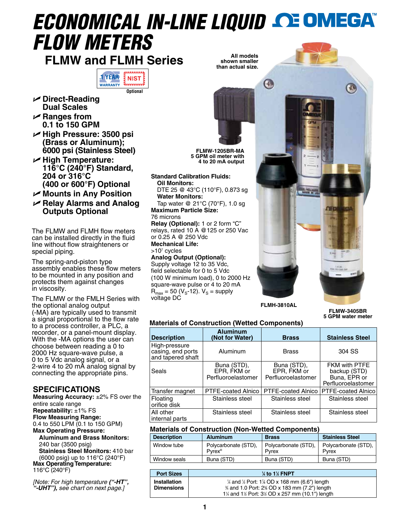# *ECONOMICAL IN-LINE LIQUID FLOW METERS*

**FLMW and FLMH Series**



- U **Direct-Reading Dual Scales**
- U **Ranges from 0.1 to 150 GPM**
- U **High Pressure: 3500 psi (Brass or Aluminum); 6000 psi (Stainless Steel)**
- U **High Temperature: 116°C (240°F) Standard, 204 or 316°C (400 or 600°F) Optional**
- U **Mounts in Any Position**
- U **Relay Alarms and Analog Outputs Optional**

The FLMW and FLMH flow meters can be installed directly in the fluid line without flow straighteners or special piping.

The spring-and-piston type assembly enables these flow meters to be mounted in any position and protects them against changes in viscosity.

The FLMW or the FMLH Series with the optional analog output (-MA) are typically used to transmit a signal proportional to the flow rate to a process controller, a PLC, a recorder, or a panel-mount display. With the -MA options the user can choose between reading a 0 to 2000 Hz square-wave pulse, a 0 to 5 Vdc analog signal, or a 2-wire 4 to 20 mA analog signal by connecting the appropriate pins.

# **SPECIFICATIONS**

**Measuring Accuracy:** ±2% FS over the entire scale range **Repeatability:** ±1% FS **Flow Measuring Range:**  0.4 to 550 LPM (0.1 to 150 GPM) **Max Operating Pressure: Aluminum and Brass Monitors:** 240 bar (3500 psig) **Stainless Steel Monitors:** 410 bar (6000 psig) up to 116°C (240°F) **Max Operating Temperature:**  116°C (240°F)

*[Note: For high temperature ("-HT", "-UHT"), see chart on next page.]*

**All models shown smaller than actual size.**

**FLMW-1205BR-MA 5 GPM oil meter with 4 to 20 mA output**

**Standard Calibration Fluids: Oil Monitors:**

DTE 25 @ 43°C (110°F), 0.873 sg **Water Monitors:**

Tap water @ 21°C (70°F), 1.0 sg **Maximum Particle Size:**

#### 76 microns

**Relay (Optional):** 1 or 2 form "C" relays, rated 10 A @125 or 250 Vac or 0.25 A @ 250 Vdc **Mechanical Life:**

>107 cycles

**Analog Output (Optional):** Supply voltage 12 to 35 Vdc, field selectable for 0 to 5 Vdc (100 W minimum load), 0 to 2000 Hz square-wave pulse or 4 to 20 mA  $R_{\text{max}}$  = 50 (V<sub>S</sub>-12). V<sub>S</sub> = supply voltage DC



**FLMW-3405BR 5 GPM water meter**

### **Materials of Construction (Wetted Components)**

| <b>Description</b>                                      | <b>Aluminum</b><br>(Not for Water)               | <b>Brass</b>                                     | <b>Stainless Steel</b>                                              |
|---------------------------------------------------------|--------------------------------------------------|--------------------------------------------------|---------------------------------------------------------------------|
| High-pressure<br>casing, end ports<br>and tapered shaft | Aluminum                                         | <b>Brass</b>                                     | 304 SS                                                              |
| Seals                                                   | Buna (STD),<br>EPR, FKM or<br>Perfluoroelastomer | Buna (STD),<br>EPR, FKM or<br>Perfluoroelastomer | FKM with PTFE<br>backup (STD)<br>Buna, EPR or<br>Perfluoroelastomer |
| Transfer magnet                                         | PTFE-coated Alnico                               | PTFE-coated Alnico                               | PTFE-coated Alnico                                                  |
| Floating<br>orifice disk                                | Stainless steel                                  | Stainless steel                                  | Stainless steel                                                     |
| All other<br>internal parts                             | Stainless steel                                  | Stainless steel                                  | Stainless steel                                                     |

# **Materials of Construction (Non-Wetted Components)**

| <b>Description</b> | <b>Aluminum</b>                            | <b>Brass</b>                  | <b>Stainless Steel</b>        |
|--------------------|--------------------------------------------|-------------------------------|-------------------------------|
| Window tube        | Polycarbonate (STD),<br>Pvrex <sup>®</sup> | Polycarbonate (STD),<br>Pyrex | Polycarbonate (STD),<br>Pyrex |
| Window seals       | Buna (STD)                                 | Buna (STD)                    | Buna (STD)                    |

| <b>Port Sizes</b>                 | $\frac{1}{4}$ to 1 $\frac{1}{2}$ FNPT                                                                                                                                           |
|-----------------------------------|---------------------------------------------------------------------------------------------------------------------------------------------------------------------------------|
| Installation<br><b>Dimensions</b> | $\frac{1}{4}$ and $\frac{1}{2}$ Port: 1% OD x 168 mm (6.6") length<br>% and 1.0 Port: 2% OD x 183 mm (7.2") length<br>1¼ and 1½ Port: $3\frac{1}{2}$ OD x 257 mm (10.1") length |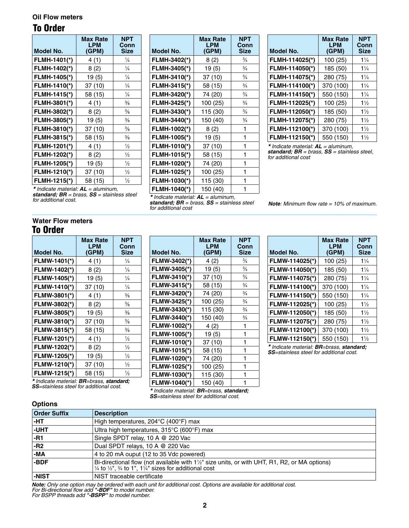#### **Oil Flow meters**

# To Order

| Model No.    | <b>Max Rate</b><br><b>LPM</b><br>(GPM) | NPT<br>Conn<br>Size |
|--------------|----------------------------------------|---------------------|
| FLMH-1401(*) | 4(1)                                   | $\frac{1}{4}$       |
| FLMH-1402(*) | 8(2)                                   | $\frac{1}{4}$       |
| FLMH-1405(*) | 19(5)                                  | $\frac{1}{4}$       |
| FLMH-1410(*) | 37 (10)                                | $\frac{1}{4}$       |
| FLMH-1415(*) | 58 (15)                                | $\frac{1}{4}$       |
| FLMH-3801(*) | 4(1)                                   | $\frac{3}{8}$       |
| FLMH-3802(*) | 8(2)                                   | $\frac{3}{8}$       |
| FLMH-3805(*) | 19(5)                                  | $\frac{3}{8}$       |
| FLMH-3810(*) | 37 (10)                                | $\frac{3}{8}$       |
| FLMH-3815(*) | 58 (15)                                | $\frac{3}{8}$       |
| FLMH-1201(*) | 4(1)                                   | $\frac{1}{2}$       |
| FLMH-1202(*) | 8(2)                                   | $\frac{1}{2}$       |
| FLMH-1205(*) | 19(5)                                  | $\frac{1}{2}$       |
| FLMH-1210(*) | 37 (10)                                | $\frac{1}{2}$       |
| FLMH-1215(*) | 58 (15)                                | $\frac{1}{2}$       |

| Model No.    | <b>Max Rate</b><br>LPM | NPT<br>Conn<br><b>Size</b> |
|--------------|------------------------|----------------------------|
|              | (GPM)                  |                            |
| FLMH-3402(*) | 8(2)                   | $\frac{3}{4}$              |
| FLMH-3405(*) | 19(5)                  | $\frac{3}{4}$              |
| FLMH-3410(*) | 37 (10)                | $\frac{3}{4}$              |
| FLMH-3415(*) | 58 (15)                | $\frac{3}{4}$              |
| FLMH-3420(*) | 74 (20)                | $\frac{3}{4}$              |
| FLMH-3425(*) | 100 (25)               | $\frac{3}{4}$              |
| FLMH-3430(*) | 115 (30)               | $\frac{3}{4}$              |
| FLMH-3440(*) | 150 (40)               | $\frac{3}{4}$              |
| FLMH-1002(*) | 8(2)                   | 1                          |
| FLMH-1005(*) | 19(5)                  | 1                          |
| FLMH-1010(*) | 37 (10)                | 1                          |
| FLMH-1015(*) | 58 (15)                | 1                          |
| FLMH-1020(*) | 74 (20)                | 1                          |
| FLMH-1025(*) | 100 (25)               | 1                          |
| FLMH-1030(*) | 115 (30)               | 1                          |
| FLMH-1040(*) | 150 (40)               | 1                          |

| Model No.      | <b>Max Rate</b><br><b>LPM</b><br>(GPM) | <b>NPT</b><br>Conn<br><b>Size</b> |
|----------------|----------------------------------------|-----------------------------------|
| FLMH-114025(*) | 100 (25)                               | $1\frac{1}{4}$                    |
| FLMH-114050(*) | 185 (50)                               | $1\frac{1}{4}$                    |
| FLMH-114075(*) | 280 (75)                               | $1\frac{1}{4}$                    |
| FLMH-114100(*) | 370 (100)                              | $1\frac{1}{4}$                    |
| FLMH-114150(*) | 550 (150)                              | $1\frac{1}{4}$                    |
| FLMH-112025(*) | 100(25)                                | $1\frac{1}{2}$                    |
| FLMH-112050(*) | 185 (50)                               | $1\frac{1}{2}$                    |
| FLMH-112075(*) | 280 (75)                               | $1\frac{1}{2}$                    |
| FLMH-112100(*) | 370 (100)                              | $1\frac{1}{2}$                    |
| FLMH-112150(*) | 550 (150)                              | $1\frac{1}{2}$                    |

*\* Indicate material: AL = aluminum, standard; BR = brass, SS = stainless steel, for additional cost*

*\* Indicate material: AL = aluminum, standard; BR = brass, SS = stainless steel for additional cost.*

*\* Indicate material: AL = aluminum, standard; BR = brass, SS = stainless steel for additional cost*

> **Max Rate LPM (GPM)**

**NPT Conn Size**

 $\frac{3}{4}$ 

⁄4

 $\frac{3}{4}$ 

 $\frac{3}{4}$ 

 $\frac{3}{4}$ 

 $\frac{3}{4}$ 

⁄4

 $\frac{3}{4}$ 

**Model No.**

**FLMW-3402(\*)** 4 (2)

**FLMW-3405(\*)** 19 (5)

**FLMW-3410(\*)** 37 (10)

**FLMW-3415(\*)** 58 (15)

**FLMW-3420(\*)** 74 (20)

**FLMW-3425(\*)** 100 (25)

**FLMW-3430(\*)** 115 (30)

**FLMW-3440(\*)** 150 (40)

**FLMW-1002(\*)** 4 (2) 1 **FLMW-1005(\*)** 19 (5) 1 **FLMW-1010(\*)** 37 (10) 1 **FLMW-1015(\*)** 58 (15) 1 **FLMW-1020(\*)** 74 (20) 1 **FLMW-1025(\*)** 100 (25) 1 **FLMW-1030(\*)** 115 (30) 1 *Note: Minimum flow rate = 10% of maximum.*

#### **Water Flow meters** To Order

| Model No.    | <b>Max Rate</b><br>LPM<br>(GPM) | NPT<br>Conn<br><b>Size</b> |
|--------------|---------------------------------|----------------------------|
| FLMW-1401(*) | 4(1)                            | $\frac{1}{4}$              |
| FLMW-1402(*) | 8(2)                            | $\frac{1}{4}$              |
| FLMW-1405(*) | 19(5)                           | $\frac{1}{4}$              |
| FLMW-1410(*) | 37 (10)                         | $\frac{1}{4}$              |
| FLMW-3801(*) | 4(1)                            | $\frac{3}{8}$              |
| FLMW-3802(*) | 8(2)                            | $\frac{3}{8}$              |
| FLMW-3805(*) | 19(5)                           | $\frac{3}{8}$              |
| FLMW-3810(*) | 37 (10)                         | $\frac{3}{8}$              |
| FLMW-3815(*) | 58 (15)                         | $\frac{3}{8}$              |
| FLMW-1201(*) | 4(1)                            | $\frac{1}{2}$              |
| FLMW-1202(*) | 8(2)                            | $\frac{1}{2}$              |
| FLMW-1205(*) | 19(5)                           | $\frac{1}{2}$              |
| FLMW-1210(*) | 37 (10)                         | $\frac{1}{2}$              |
| FLMW-1215(*) | 58 (15)                         | $\frac{1}{2}$              |

*\* Indicate material: BR=brass, standard; SS=stainless steel for additional cost.*

**Options**

*\* Indicate material: BR=brass, standard; SS=stainless steel for additional cost.* **FLMW-1040(\*)** 150 (40) 1

| Model No.      | <b>Max Rate</b><br><b>LPM</b><br>(GPM) | <b>NPT</b><br>Conn<br><b>Size</b> |
|----------------|----------------------------------------|-----------------------------------|
| FLMW-114025(*) | 100 (25)                               | $1\frac{1}{4}$                    |
| FLMW-114050(*) | 185 (50)                               | $1\frac{1}{4}$                    |
| FLMW-114075(*) | 280 (75)                               | $1\frac{1}{4}$                    |
| FLMW-114100(*) | 370 (100)                              | $1\frac{1}{4}$                    |
| FLMW-114150(*) | 550 (150)                              | $1\frac{1}{4}$                    |
| FLMW-112025(*) | 100 (25)                               | $1\frac{1}{2}$                    |
| FLMW-112050(*) | 185 (50)                               | $1\frac{1}{2}$                    |
| FLMW-112075(*) | 280 (75)                               | $1\frac{1}{2}$                    |
| FLMW-112100(*) | 370 (100)                              | $1\frac{1}{2}$                    |
| FLMW-112150(*) | 550 (150)                              | $1\frac{1}{2}$                    |

*\* Indicate material: BR=brass, standard; SS=stainless steel for additional cost.*

| <b>Order Suffix</b> | <b>Description</b>                                                                                                                                                                                              |
|---------------------|-----------------------------------------------------------------------------------------------------------------------------------------------------------------------------------------------------------------|
| l-HT.               | High temperatures, 204°C (400°F) max                                                                                                                                                                            |
| ∣-UHT               | Ultra high temperatures, 315°C (600°F) max                                                                                                                                                                      |
| -R1                 | Single SPDT relay, 10 A @ 220 Vac                                                                                                                                                                               |
| l - R2              | Dual SPDT relays, 10 A @ 220 Vac                                                                                                                                                                                |
| ∣-MA                | 4 to 20 mA ouput (12 to 35 Vdc powered)                                                                                                                                                                         |
| <b>-BDF</b>         | Bi-directional flow (not available with 1 <sup>1/2</sup> " size units, or with UHT, R1, R2, or MA options)<br>$\frac{1}{4}$ to $\frac{1}{2}$ , $\frac{3}{4}$ to 1", 1 $\frac{1}{4}$ " sizes for additional cost |
| ∣-NIST              | NIST traceable certificate                                                                                                                                                                                      |

*Note: Only one option may be ordered with each unit for additional cost. Options are available for additional cost. For Bi-directional flow add "-BDF" to model number.*

*For BSPP threads add "-BSPP" to model number.*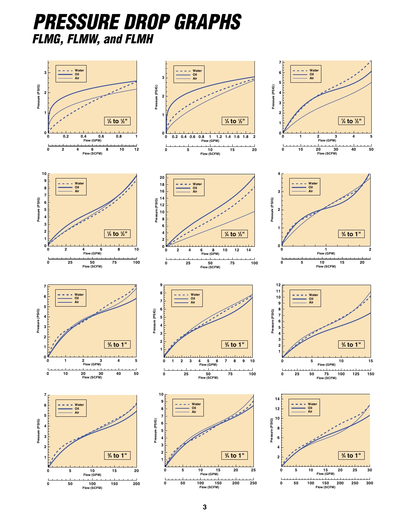# *PRESSURE DROP GRAPHS FLMG, FLMW, and FLMH*